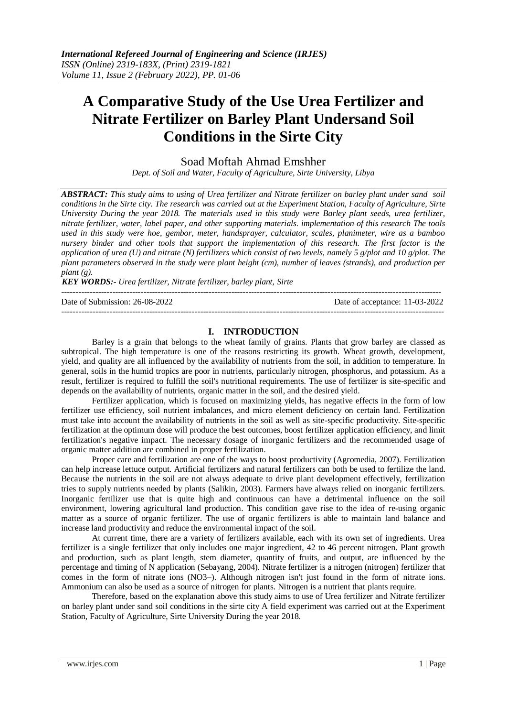# **A Comparative Study of the Use Urea Fertilizer and Nitrate Fertilizer on Barley Plant Undersand Soil Conditions in the Sirte City**

Soad Moftah Ahmad Emshher

*Dept. of Soil and Water, Faculty of Agriculture, Sirte University, Libya*

*ABSTRACT: This study aims to using of Urea fertilizer and Nitrate fertilizer on barley plant under sand soil conditions in the Sirte city. The research was carried out at the Experiment Station, Faculty of Agriculture, Sirte University During the year 2018. The materials used in this study were Barley plant seeds, urea fertilizer, nitrate fertilizer, water, label paper, and other supporting materials. implementation of this research The tools used in this study were hoe, gembor, meter, handsprayer, calculator, scales, planimeter, wire as a bamboo nursery binder and other tools that support the implementation of this research. The first factor is the application of urea (U) and nitrate (N) fertilizers which consist of two levels, namely 5 g/plot and 10 g/plot. The plant parameters observed in the study were plant height (cm), number of leaves (strands), and production per plant (g).*

*KEY WORDS:- Urea fertilizer, Nitrate fertilizer, barley plant, Sirte*

-------------------------------------------------------------------------------------------------------------------------------------- Date of Submission: 26-08-2022 Date of acceptance: 11-03-2022 ---------------------------------------------------------------------------------------------------------------------------------------

## **I. INTRODUCTION**

Barley is a grain that belongs to the wheat family of grains. Plants that grow barley are classed as subtropical. The high temperature is one of the reasons restricting its growth. Wheat growth, development, yield, and quality are all influenced by the availability of nutrients from the soil, in addition to temperature. In general, soils in the humid tropics are poor in nutrients, particularly nitrogen, phosphorus, and potassium. As a result, fertilizer is required to fulfill the soil's nutritional requirements. The use of fertilizer is site-specific and depends on the availability of nutrients, organic matter in the soil, and the desired yield.

Fertilizer application, which is focused on maximizing yields, has negative effects in the form of low fertilizer use efficiency, soil nutrient imbalances, and micro element deficiency on certain land. Fertilization must take into account the availability of nutrients in the soil as well as site-specific productivity. Site-specific fertilization at the optimum dose will produce the best outcomes, boost fertilizer application efficiency, and limit fertilization's negative impact. The necessary dosage of inorganic fertilizers and the recommended usage of organic matter addition are combined in proper fertilization.

Proper care and fertilization are one of the ways to boost productivity (Agromedia, 2007). Fertilization can help increase lettuce output. Artificial fertilizers and natural fertilizers can both be used to fertilize the land. Because the nutrients in the soil are not always adequate to drive plant development effectively, fertilization tries to supply nutrients needed by plants (Salikin, 2003). Farmers have always relied on inorganic fertilizers. Inorganic fertilizer use that is quite high and continuous can have a detrimental influence on the soil environment, lowering agricultural land production. This condition gave rise to the idea of re-using organic matter as a source of organic fertilizer. The use of organic fertilizers is able to maintain land balance and increase land productivity and reduce the environmental impact of the soil.

At current time, there are a variety of fertilizers available, each with its own set of ingredients. Urea fertilizer is a single fertilizer that only includes one major ingredient, 42 to 46 percent nitrogen. Plant growth and production, such as plant length, stem diameter, quantity of fruits, and output, are influenced by the percentage and timing of N application (Sebayang, 2004). Nitrate fertilizer is a nitrogen (nitrogen) fertilizer that comes in the form of nitrate ions (NO3–). Although nitrogen isn't just found in the form of nitrate ions. Ammonium can also be used as a source of nitrogen for plants. Nitrogen is a nutrient that plants require.

Therefore, based on the explanation above this study aims to use of Urea fertilizer and Nitrate fertilizer on barley plant under sand soil conditions in the sirte city A field experiment was carried out at the Experiment Station, Faculty of Agriculture, Sirte University During the year 2018.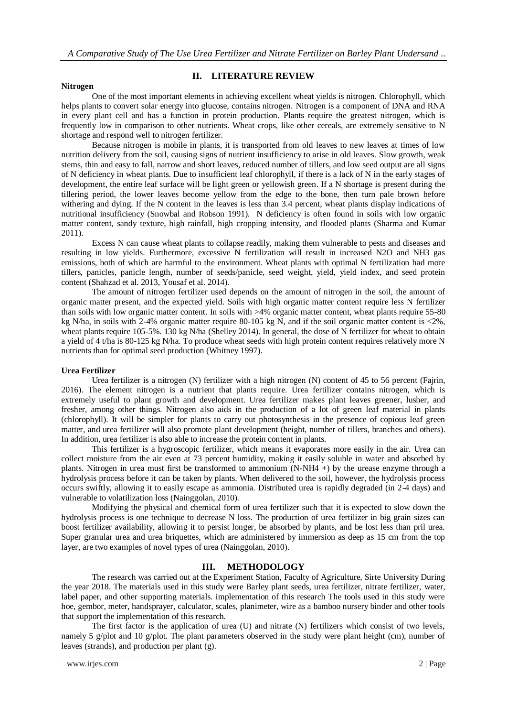# **II. LITERATURE REVIEW**

#### **Nitrogen**

One of the most important elements in achieving excellent wheat yields is nitrogen. Chlorophyll, which helps plants to convert solar energy into glucose, contains nitrogen. Nitrogen is a component of DNA and RNA in every plant cell and has a function in protein production. Plants require the greatest nitrogen, which is frequently low in comparison to other nutrients. Wheat crops, like other cereals, are extremely sensitive to N shortage and respond well to nitrogen fertilizer.

Because nitrogen is mobile in plants, it is transported from old leaves to new leaves at times of low nutrition delivery from the soil, causing signs of nutrient insufficiency to arise in old leaves. Slow growth, weak stems, thin and easy to fall, narrow and short leaves, reduced number of tillers, and low seed output are all signs of N deficiency in wheat plants. Due to insufficient leaf chlorophyll, if there is a lack of N in the early stages of development, the entire leaf surface will be light green or yellowish green. If a N shortage is present during the tillering period, the lower leaves become yellow from the edge to the bone, then turn pale brown before withering and dying. If the N content in the leaves is less than 3.4 percent, wheat plants display indications of nutritional insufficiency (Snowbal and Robson 1991). N deficiency is often found in soils with low organic matter content, sandy texture, high rainfall, high cropping intensity, and flooded plants (Sharma and Kumar 2011).

Excess N can cause wheat plants to collapse readily, making them vulnerable to pests and diseases and resulting in low yields. Furthermore, excessive N fertilization will result in increased N2O and NH3 gas emissions, both of which are harmful to the environment. Wheat plants with optimal N fertilization had more tillers, panicles, panicle length, number of seeds/panicle, seed weight, yield, yield index, and seed protein content (Shahzad et al. 2013, Yousaf et al. 2014).

The amount of nitrogen fertilizer used depends on the amount of nitrogen in the soil, the amount of organic matter present, and the expected yield. Soils with high organic matter content require less N fertilizer than soils with low organic matter content. In soils with >4% organic matter content, wheat plants require 55-80 kg N/ha, in soils with 2-4% organic matter require 80-105 kg N, and if the soil organic matter content is <2%, wheat plants require 105-5%. 130 kg N/ha (Shelley 2014). In general, the dose of N fertilizer for wheat to obtain a yield of 4 t/ha is 80-125 kg N/ha. To produce wheat seeds with high protein content requires relatively more N nutrients than for optimal seed production (Whitney 1997).

#### **Urea Fertilizer**

Urea fertilizer is a nitrogen (N) fertilizer with a high nitrogen (N) content of 45 to 56 percent (Fajrin, 2016). The element nitrogen is a nutrient that plants require. Urea fertilizer contains nitrogen, which is extremely useful to plant growth and development. Urea fertilizer makes plant leaves greener, lusher, and fresher, among other things. Nitrogen also aids in the production of a lot of green leaf material in plants (chlorophyll). It will be simpler for plants to carry out photosynthesis in the presence of copious leaf green matter, and urea fertilizer will also promote plant development (height, number of tillers, branches and others). In addition, urea fertilizer is also able to increase the protein content in plants.

This fertilizer is a hygroscopic fertilizer, which means it evaporates more easily in the air. Urea can collect moisture from the air even at 73 percent humidity, making it easily soluble in water and absorbed by plants. Nitrogen in urea must first be transformed to ammonium (N-NH4 +) by the urease enzyme through a hydrolysis process before it can be taken by plants. When delivered to the soil, however, the hydrolysis process occurs swiftly, allowing it to easily escape as ammonia. Distributed urea is rapidly degraded (in 2-4 days) and vulnerable to volatilization loss (Nainggolan, 2010).

Modifying the physical and chemical form of urea fertilizer such that it is expected to slow down the hydrolysis process is one technique to decrease N loss. The production of urea fertilizer in big grain sizes can boost fertilizer availability, allowing it to persist longer, be absorbed by plants, and be lost less than pril urea. Super granular urea and urea briquettes, which are administered by immersion as deep as 15 cm from the top layer, are two examples of novel types of urea (Nainggolan, 2010).

#### **III. METHODOLOGY**

The research was carried out at the Experiment Station, Faculty of Agriculture, Sirte University During the year 2018. The materials used in this study were Barley plant seeds, urea fertilizer, nitrate fertilizer, water, label paper, and other supporting materials. implementation of this research The tools used in this study were hoe, gembor, meter, handsprayer, calculator, scales, planimeter, wire as a bamboo nursery binder and other tools that support the implementation of this research.

The first factor is the application of urea (U) and nitrate (N) fertilizers which consist of two levels, namely 5 g/plot and 10 g/plot. The plant parameters observed in the study were plant height (cm), number of leaves (strands), and production per plant (g).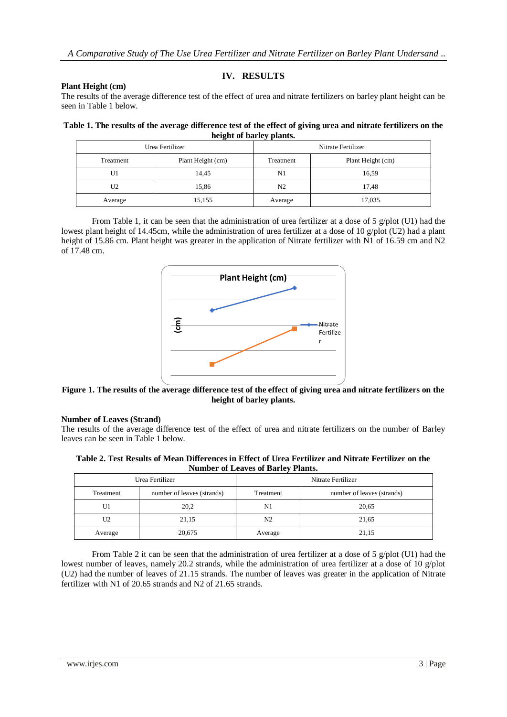# **IV. RESULTS**

#### **Plant Height (cm)**

The results of the average difference test of the effect of urea and nitrate fertilizers on barley plant height can be seen in Table 1 below.

| Table 1. The results of the average difference test of the effect of giving urea and nitrate fertilizers on the |
|-----------------------------------------------------------------------------------------------------------------|
| height of barley plants.                                                                                        |

|           | Urea Fertilizer   | Nitrate Fertilizer |                   |  |
|-----------|-------------------|--------------------|-------------------|--|
| Treatment | Plant Height (cm) | Treatment          | Plant Height (cm) |  |
| U1        | 14.45             | N1                 | 16.59             |  |
| U2        | 15,86             |                    | 17,48             |  |
| Average   | 15,155<br>Average |                    | 17,035            |  |

From Table 1, it can be seen that the administration of urea fertilizer at a dose of 5  $g/plot$  (U1) had the lowest plant height of 14.45cm, while the administration of urea fertilizer at a dose of 10 g/plot (U2) had a plant height of 15.86 cm. Plant height was greater in the application of Nitrate fertilizer with N1 of 16.59 cm and N2 of 17.48 cm.



**Figure 1. The results of the average difference test of the effect of giving urea and nitrate fertilizers on the height of barley plants.**

#### **Number of Leaves (Strand)**

| Table 2. Test Results of Mean Differences in Effect of Urea Fertilizer and Nitrate Fertilizer on the |                                           |  |  |  |
|------------------------------------------------------------------------------------------------------|-------------------------------------------|--|--|--|
|                                                                                                      | <b>Number of Leaves of Barley Plants.</b> |  |  |  |

|                                  | Figure 1. The results of the average difference test of the effect of giving urea and nitrate fertilizers on t |                                           |                            |
|----------------------------------|----------------------------------------------------------------------------------------------------------------|-------------------------------------------|----------------------------|
|                                  |                                                                                                                | height of barley plants.                  |                            |
| <b>Number of Leaves (Strand)</b> |                                                                                                                |                                           |                            |
|                                  |                                                                                                                |                                           |                            |
|                                  |                                                                                                                |                                           |                            |
|                                  | The results of the average difference test of the effect of urea and nitrate fertilizers on the number of Bar  |                                           |                            |
|                                  | leaves can be seen in Table 1 below.                                                                           |                                           |                            |
|                                  |                                                                                                                |                                           |                            |
|                                  | Table 2. Test Results of Mean Differences in Effect of Urea Fertilizer and Nitrate Fertilizer on the           |                                           |                            |
|                                  | Urea Fertilizer                                                                                                | <b>Number of Leaves of Barley Plants.</b> | Nitrate Fertilizer         |
| Treatment                        | number of leaves (strands)                                                                                     | Treatment                                 | number of leaves (strands) |
| U1                               | 20,2                                                                                                           | N1                                        | 20,65                      |
| U <sub>2</sub>                   | 21,15                                                                                                          | N <sub>2</sub>                            | 21,65                      |
| Average                          | 20,675                                                                                                         | Average                                   | 21,15                      |
|                                  |                                                                                                                |                                           |                            |

From Table 2 it can be seen that the administration of urea fertilizer at a dose of 5  $g$ /plot (U1) had the lowest number of leaves, namely 20.2 strands, while the administration of urea fertilizer at a dose of 10 g/plot (U2) had the number of leaves of 21.15 strands. The number of leaves was greater in the application of Nitrate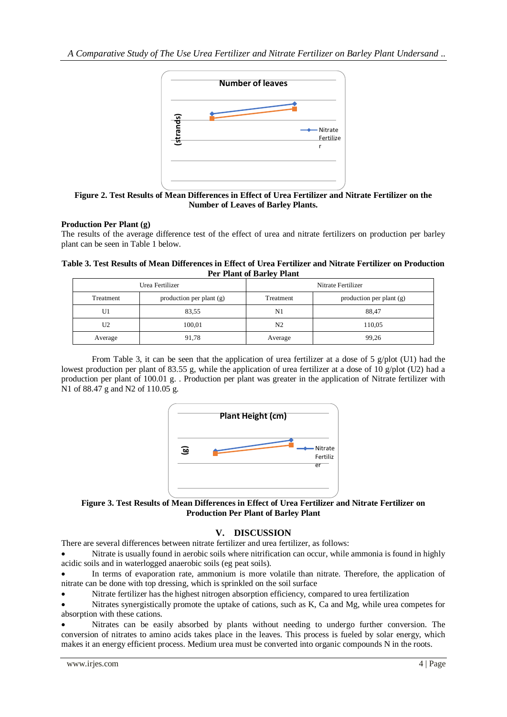*A Comparative Study of The Use Urea Fertilizer and Nitrate Fertilizer on Barley Plant Undersand ..*



**Figure 2. Test Results of Mean Differences in Effect of Urea Fertilizer and Nitrate Fertilizer on the Number of Leaves of Barley Plants.**

## **Production Per Plant (g)**

## **Table 3. Test Results of Mean Differences in Effect of Urea Fertilizer and Nitrate Fertilizer on Production Per Plant of Barley Plant**

|                                                                     | strands)                                                                                          |                                             | Nitrate                                                                                                                                                                                                                                                                                                                                                                                                                  |
|---------------------------------------------------------------------|---------------------------------------------------------------------------------------------------|---------------------------------------------|--------------------------------------------------------------------------------------------------------------------------------------------------------------------------------------------------------------------------------------------------------------------------------------------------------------------------------------------------------------------------------------------------------------------------|
|                                                                     |                                                                                                   |                                             | Fertilize<br>r                                                                                                                                                                                                                                                                                                                                                                                                           |
|                                                                     |                                                                                                   |                                             |                                                                                                                                                                                                                                                                                                                                                                                                                          |
|                                                                     |                                                                                                   |                                             |                                                                                                                                                                                                                                                                                                                                                                                                                          |
|                                                                     |                                                                                                   |                                             |                                                                                                                                                                                                                                                                                                                                                                                                                          |
|                                                                     |                                                                                                   |                                             | Figure 2. Test Results of Mean Differences in Effect of Urea Fertilizer and Nitrate Fertilizer on the                                                                                                                                                                                                                                                                                                                    |
|                                                                     |                                                                                                   | <b>Number of Leaves of Barley Plants.</b>   |                                                                                                                                                                                                                                                                                                                                                                                                                          |
|                                                                     |                                                                                                   |                                             |                                                                                                                                                                                                                                                                                                                                                                                                                          |
| <b>Production Per Plant (g)</b>                                     |                                                                                                   |                                             |                                                                                                                                                                                                                                                                                                                                                                                                                          |
| plant can be seen in Table 1 below.                                 |                                                                                                   |                                             | The results of the average difference test of the effect of urea and nitrate fertilizers on production per barl                                                                                                                                                                                                                                                                                                          |
|                                                                     |                                                                                                   |                                             |                                                                                                                                                                                                                                                                                                                                                                                                                          |
|                                                                     |                                                                                                   |                                             | Table 3. Test Results of Mean Differences in Effect of Urea Fertilizer and Nitrate Fertilizer on Producti                                                                                                                                                                                                                                                                                                                |
|                                                                     |                                                                                                   | <b>Per Plant of Barley Plant</b>            |                                                                                                                                                                                                                                                                                                                                                                                                                          |
|                                                                     | Urea Fertilizer                                                                                   |                                             | Nitrate Fertilizer                                                                                                                                                                                                                                                                                                                                                                                                       |
| Treatment                                                           | production per plant (g)                                                                          | Treatment                                   | production per plant (g)                                                                                                                                                                                                                                                                                                                                                                                                 |
| U1                                                                  | 83,55                                                                                             | N1                                          | 88,47                                                                                                                                                                                                                                                                                                                                                                                                                    |
| U2                                                                  | 100,01                                                                                            | N <sub>2</sub>                              | 110,05                                                                                                                                                                                                                                                                                                                                                                                                                   |
| Average                                                             | 91,78                                                                                             | Average                                     | 99,26                                                                                                                                                                                                                                                                                                                                                                                                                    |
|                                                                     |                                                                                                   |                                             |                                                                                                                                                                                                                                                                                                                                                                                                                          |
|                                                                     |                                                                                                   | Plant Height (cm)                           |                                                                                                                                                                                                                                                                                                                                                                                                                          |
|                                                                     |                                                                                                   |                                             |                                                                                                                                                                                                                                                                                                                                                                                                                          |
|                                                                     | وق                                                                                                |                                             | Nitrate<br>Fertiliz                                                                                                                                                                                                                                                                                                                                                                                                      |
|                                                                     |                                                                                                   |                                             | er                                                                                                                                                                                                                                                                                                                                                                                                                       |
|                                                                     |                                                                                                   |                                             | production per plant of 100.01 g. . Production per plant was greater in the application of Nitrate fertilizer w                                                                                                                                                                                                                                                                                                          |
|                                                                     |                                                                                                   |                                             |                                                                                                                                                                                                                                                                                                                                                                                                                          |
|                                                                     |                                                                                                   |                                             |                                                                                                                                                                                                                                                                                                                                                                                                                          |
|                                                                     |                                                                                                   | <b>Production Per Plant of Barley Plant</b> |                                                                                                                                                                                                                                                                                                                                                                                                                          |
|                                                                     |                                                                                                   |                                             |                                                                                                                                                                                                                                                                                                                                                                                                                          |
|                                                                     |                                                                                                   | V. DISCUSSION                               |                                                                                                                                                                                                                                                                                                                                                                                                                          |
|                                                                     | There are several differences between nitrate fertilizer and urea fertilizer, as follows:         |                                             |                                                                                                                                                                                                                                                                                                                                                                                                                          |
|                                                                     |                                                                                                   |                                             |                                                                                                                                                                                                                                                                                                                                                                                                                          |
|                                                                     | acidic soils and in waterlogged anaerobic soils (eg peat soils).                                  |                                             |                                                                                                                                                                                                                                                                                                                                                                                                                          |
|                                                                     |                                                                                                   |                                             |                                                                                                                                                                                                                                                                                                                                                                                                                          |
|                                                                     | nitrate can be done with top dressing, which is sprinkled on the soil surface                     |                                             |                                                                                                                                                                                                                                                                                                                                                                                                                          |
|                                                                     | Nitrate fertilizer has the highest nitrogen absorption efficiency, compared to urea fertilization |                                             |                                                                                                                                                                                                                                                                                                                                                                                                                          |
|                                                                     |                                                                                                   |                                             | Figure 3. Test Results of Mean Differences in Effect of Urea Fertilizer and Nitrate Fertilizer on<br>Nitrate is usually found in aerobic soils where nitrification can occur, while ammonia is found in high<br>In terms of evaporation rate, ammonium is more volatile than nitrate. Therefore, the application<br>Nitrates synergistically promote the uptake of cations, such as K, Ca and Mg, while urea competes in |
|                                                                     |                                                                                                   |                                             |                                                                                                                                                                                                                                                                                                                                                                                                                          |
| N1 of 88.47 g and N2 of 110.05 g.<br>absorption with these cations. |                                                                                                   |                                             | Nitrates can be easily absorbed by plants without needing to undergo further conversion. T<br>conversion of nitrates to amino acids takes place in the leaves. This process is fueled by solar energy, whi                                                                                                                                                                                                               |



**Figure 3. Test Results of Mean Differences in Effect of Urea Fertilizer and Nitrate Fertilizer on Production Per Plant of Barley Plant**

## **V. DISCUSSION**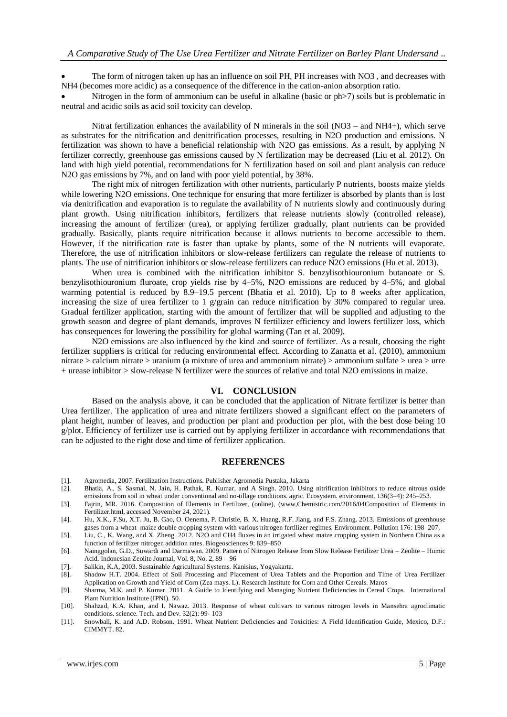The form of nitrogen taken up has an influence on soil PH, PH increases with NO3 , and decreases with NH4 (becomes more acidic) as a consequence of the difference in the cation-anion absorption ratio.

Nitrogen in the form of ammonium can be useful in alkaline (basic or ph $>7$ ) soils but is problematic in neutral and acidic soils as acid soil toxicity can develop.

Nitrat fertilization enhances the availability of N minerals in the soil (NO3 – and NH4+), which serve as substrates for the nitrification and denitrification processes, resulting in N2O production and emissions. N fertilization was shown to have a beneficial relationship with N2O gas emissions. As a result, by applying N fertilizer correctly, greenhouse gas emissions caused by N fertilization may be decreased (Liu et al. 2012). On land with high yield potential, recommendations for N fertilization based on soil and plant analysis can reduce N<sub>2</sub>O gas emissions by 7%, and on land with poor yield potential, by 38%.

The right mix of nitrogen fertilization with other nutrients, particularly P nutrients, boosts maize yields while lowering N2O emissions. One technique for ensuring that more fertilizer is absorbed by plants than is lost via denitrification and evaporation is to regulate the availability of N nutrients slowly and continuously during plant growth. Using nitrification inhibitors, fertilizers that release nutrients slowly (controlled release), increasing the amount of fertilizer (urea), or applying fertilizer gradually, plant nutrients can be provided gradually. Basically, plants require nitrification because it allows nutrients to become accessible to them. However, if the nitrification rate is faster than uptake by plants, some of the N nutrients will evaporate. Therefore, the use of nitrification inhibitors or slow-release fertilizers can regulate the release of nutrients to plants. The use of nitrification inhibitors or slow-release fertilizers can reduce N2O emissions (Hu et al. 2013).

When urea is combined with the nitrification inhibitor S. benzylisothiouronium butanoate or S. benzylisothiouronium fluroate, crop yields rise by 4–5%, N2O emissions are reduced by 4–5%, and global warming potential is reduced by 8.9–19.5 percent (Bhatia et al. 2010). Up to 8 weeks after application, increasing the size of urea fertilizer to 1 g/grain can reduce nitrification by 30% compared to regular urea. Gradual fertilizer application, starting with the amount of fertilizer that will be supplied and adjusting to the growth season and degree of plant demands, improves N fertilizer efficiency and lowers fertilizer loss, which has consequences for lowering the possibility for global warming (Tan et al. 2009).

N2O emissions are also influenced by the kind and source of fertilizer. As a result, choosing the right fertilizer suppliers is critical for reducing environmental effect. According to Zanatta et al. (2010), ammonium nitrate > calcium nitrate > uranium (a mixture of urea and ammonium nitrate) > ammonium sulfate > urea > urre + urease inhibitor > slow-release N fertilizer were the sources of relative and total N2O emissions in maize.

### **VI. CONCLUSION**

Based on the analysis above, it can be concluded that the application of Nitrate fertilizer is better than Urea fertilizer. The application of urea and nitrate fertilizers showed a significant effect on the parameters of plant height, number of leaves, and production per plant and production per plot, with the best dose being 10 g/plot. Efficiency of fertilizer use is carried out by applying fertilizer in accordance with recommendations that can be adjusted to the right dose and time of fertilizer application.

## **REFERENCES**

- 
- [1]. Agromedia, 2007. Fertilization Instructions. Publisher Agromedia Pustaka, Jakarta [2]. Bhatia, A., S. Sasmal, N. Jain, H. Pathak, R. Kumar, and A Singh. 2010. Using nitrification inhibitors to reduce nitrous oxide emissions from soil in wheat under conventional and no-tillage conditions. agric. Ecosystem. environment. 136(3–4): 245–253.
- [3]. Fajrin, MR. 2016. Composition of Elements in Fertilizer, (online), (www,Chemistric.com/2016/04Composition of Elements in Fertilizer.html, accessed November 24, 2021).
- [4]. Hu, X.K., F.Su, X.T. Ju, B. Gao, O. Oenema, P. Christie, B. X. Huang, R.F. Jiang, and F.S. Zhang. 2013. Emissions of greenhouse gases from a wheat–maize double cropping system with various nitrogen fertilizer regimes. Environment. Pollution 176: 198–207.
- [5]. Liu, C., K. Wang, and X. Zheng. 2012. N2O and CH4 fluxes in an irrigated wheat maize cropping system in Northern China as a function of fertilizer nitrogen addition rates. Biogeosciences 9: 839–850
- [6]. Nainggolan, G.D., Suwardi and Darmawan. 2009. Pattern of Nitrogen Release from Slow Release Fertilizer Urea Zeolite Humic Acid. Indonesian Zeolite Journal, Vol. 8, No. 2, 89 – 96
- [7]. Salikin, K.A, 2003. Sustainable Agricultural Systems. Kanisius, Yogyakarta.
- [8]. Shadow H.T. 2004. Effect of Soil Processing and Placement of Urea Tablets and the Proportion and Time of Urea Fertilizer Application on Growth and Yield of Corn (Zea mays. L). Research Institute for Corn and Other Cereals. Maros
- [9]. Sharma, M.K. and P. Kumar. 2011. A Guide to Identifying and Managing Nutrient Deficiencies in Cereal Crops. International Plant Nutrition Institute (IPNI). 50.
- [10]. Shahzad, K.A. Khan, and I. Nawaz. 2013. Response of wheat cultivars to various nitrogen levels in Mansehra agroclimatic conditions. science. Tech. and Dev. 32(2): 99- 103
- [11]. Snowball, K. and A.D. Robson. 1991. Wheat Nutrient Deficiencies and Toxicities: A Field Identification Guide, Mexico, D.F.: CIMMYT. 82.